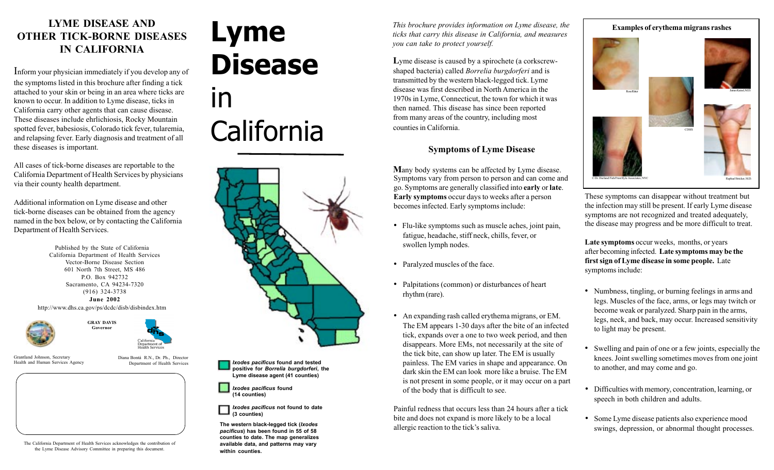# **LYME DISEASE AND OTHER TICK-BORNE DISEASES IN CALIFORNIA**

Inform your physician immediately if you develop any of the symptoms listed in this brochure after finding a tick attached to your skin or being in an area where ticks are known to occur. In addition to Lyme disease, ticks in California carry other agents that can cause disease. These diseases include ehrlichiosis, Rocky Mountain spotted fever, babesiosis, Colorado tick fever, tularemia, and relapsing fever. Early diagnosis and treatment of all these diseases is important.

All cases of tick-borne diseases are reportable to the California Department of Health Services by physicians via their county health department.

Additional information on Lyme disease and other tick-borne diseases can be obtained from the agency named in the box below, or by contacting the California Department of Health Services.

> Published by the State of California California Department of Health Services Vector-Borne Disease Section 601 North 7th Street, MS 486 P.O. Box 942732 Sacramento, CA 94234-7320 (916) 324-3738 **June 2002** http://www.dhs.ca.gov/ps/dcdc/disb/disbindex.htm







Grantland Johnson, Secretary Health and Human Services Agency Diana Bontá R.N., Dr. Ph., Director Department of Health Services

The California Department of Health Services acknowledges the contribution of the Lyme Disease Advisory Committee in preparing this document.

# **Lyme Disease** in California



*Ixodes pacificus* **found and tested positive for** *Borrelia burgdorferi***, the Lyme disease agent (41 counties)**

*Ixodes pacificus* **found (14 counties)**

*Ixodes pacificus* **not found to date (3 counties)**

**The western black-legged tick (***Ixodes pacificus***) has been found in 55 of 58 counties to date. The map generalizes available data, and patterns may vary within counties.**

*This brochure provides information on Lyme disease, the ticks that carry this disease in California, and measures you can take to protect yourself.*

**L**yme disease is caused by a spirochete (a corkscrewshaped bacteria) called *Borrelia burgdorferi* and is transmitted by the western black-legged tick. Lyme disease was first described in North America in the 1970s in Lyme, Connecticut, the town for which it was then named. This disease has since been reported from many areas of the country, including most counties in California.

## **Symptoms of Lyme Disease**

**M**any body systems can be affected by Lyme disease. Symptoms vary from person to person and can come and go. Symptoms are generally classified into **early** or **late**. **Early symptoms** occur days to weeks after a person becomes infected. Early symptoms include:

- Flu-like symptoms such as muscle aches, joint pain, fatigue, headache, stiff neck, chills, fever, or swollen lymph nodes.
- Paralyzed muscles of the face.
- Palpitations (common) or disturbances of heart rhythm (rare).
- An expanding rash called erythema migrans, or EM. The EM appears 1-30 days after the bite of an infected tick, expands over a one to two week period, and then disappears. More EMs, not necessarily at the site of the tick bite, can show up later. The EM is usually painless. The EM varies in shape and appearance. On dark skin the EM can look more like a bruise. The EM is not present in some people, or it may occur on a part of the body that is difficult to see.

Painful redness that occurs less than 24 hours after a tick bite and does not expand is more likely to be a local allergic reaction to the tick's saliva.

# **Examples of erythema migrans rashes**



These symptoms can disappear without treatment but the infection may still be present. If early Lyme disease symptoms are not recognized and treated adequately, the disease may progress and be more difficult to treat.

**Late symptoms** occur weeks, months, or years after becoming infected. **Late symptoms may be the first sign of Lyme disease in some people.** Late symptoms include:

- Numbness, tingling, or burning feelings in arms and legs. Muscles of the face, arms, or legs may twitch or become weak or paralyzed. Sharp pain in the arms, legs, neck, and back, may occur. Increased sensitivity to light may be present.
- Swelling and pain of one or a few joints, especially the knees. Joint swelling sometimes moves from one joint to another, and may come and go.
- *ï* Difficulties with memory, concentration, learning, or speech in both children and adults.
- Some Lyme disease patients also experience mood swings, depression, or abnormal thought processes.